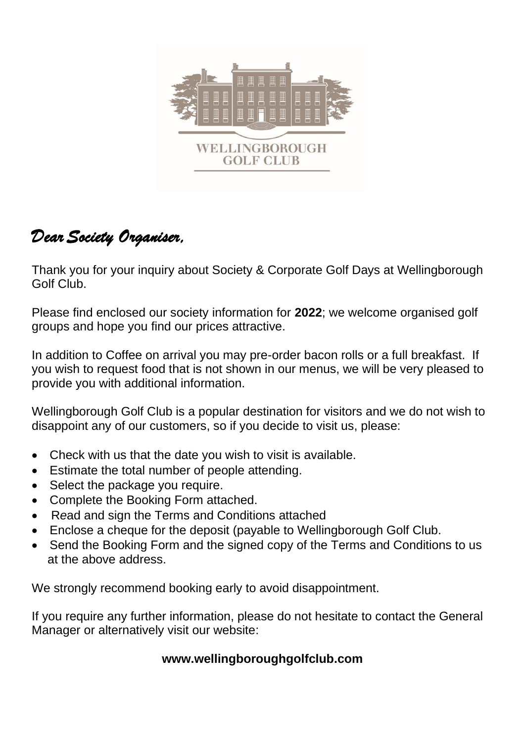

# *DearSociety Organiser,*

Thank you for your inquiry about Society & Corporate Golf Days at Wellingborough Golf Club.

Please find enclosed our society information for **2022**; we welcome organised golf groups and hope you find our prices attractive.

In addition to Coffee on arrival you may pre-order bacon rolls or a full breakfast. If you wish to request food that is not shown in our menus, we will be very pleased to provide you with additional information.

Wellingborough Golf Club is a popular destination for visitors and we do not wish to disappoint any of our customers, so if you decide to visit us, please:

- Check with us that the date you wish to visit is available.
- Estimate the total number of people attending.
- Select the package you require.
- Complete the Booking Form attached.
- R*e*ad and sign the Terms and Conditions attached
- Enclose a cheque for the deposit (payable to Wellingborough Golf Club.
- Send the Booking Form and the signed copy of the Terms and Conditions to us at the above address.

We strongly recommend booking early to avoid disappointment.

If you require any further information, please do not hesitate to contact the General Manager or alternatively visit our website:

#### **www.wellingboroughgolfclub.com**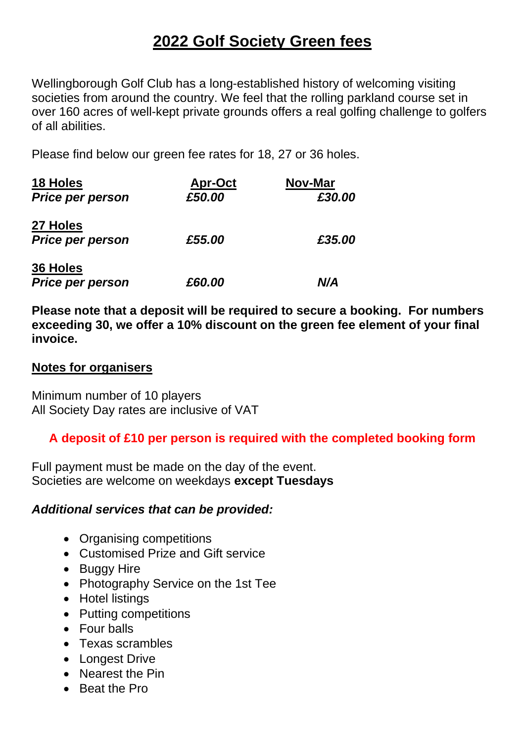## **2022 Golf Society Green fees**

Wellingborough Golf Club has a long-established history of welcoming visiting societies from around the country. We feel that the rolling parkland course set in over 160 acres of well-kept private grounds offers a real golfing challenge to golfers of all abilities.

Please find below our green fee rates for 18, 27 or 36 holes.

| <b>18 Holes</b>                     | <b>Apr-Oct</b> | Nov-Mar |
|-------------------------------------|----------------|---------|
| <b>Price per person</b>             | £50.00         | £30.00  |
| 27 Holes<br><b>Price per person</b> | £55.00         | £35.00  |
| 36 Holes<br><b>Price per person</b> | £60.00         | N/A     |

**Please note that a deposit will be required to secure a booking. For numbers exceeding 30, we offer a 10% discount on the green fee element of your final invoice.**

#### **Notes for organisers**

Minimum number of 10 players All Society Day rates are inclusive of VAT

#### **A deposit of £10 per person is required with the completed booking form**

Full payment must be made on the day of the event. Societies are welcome on weekdays **except Tuesdays**

#### *Additional services that can be provided:*

- Organising competitions
- Customised Prize and Gift service
- Buggy Hire
- Photography Service on the 1st Tee
- Hotel listings
- Putting competitions
- Four balls
- Texas scrambles
- Longest Drive
- Nearest the Pin
- Beat the Pro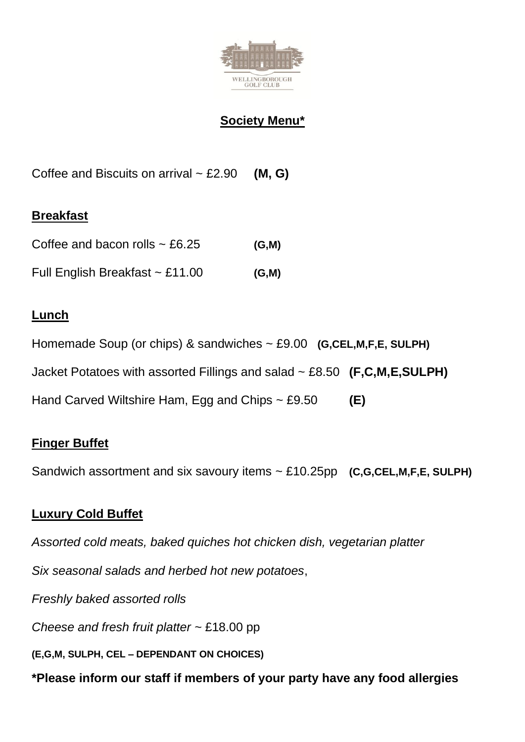

#### **Society Menu\***

Coffee and Biscuits on arrival ~ £2.90 **(M, G)**

#### **Breakfast**

| Coffee and bacon rolls $\sim$ £6.25  | (G, M) |
|--------------------------------------|--------|
| Full English Breakfast $\sim$ £11.00 | (G, M) |

#### **Lunch**

Homemade Soup (or chips) & sandwiches ~ £9.00 **(G,CEL,M,F,E, SULPH)** Jacket Potatoes with assorted Fillings and salad ~ £8.50 **(F,C,M,E,SULPH)** Hand Carved Wiltshire Ham, Egg and Chips ~ £9.50 **(E)**

#### **Finger Buffet**

Sandwich assortment and six savoury items ~ £10.25pp **(C,G,CEL,M,F,E, SULPH)**

### **Luxury Cold Buffet**

*Assorted cold meats, baked quiches hot chicken dish, vegetarian platter*

*Six seasonal salads and herbed hot new potatoes*,

*Freshly baked assorted rolls* 

*Cheese and fresh fruit platter ~* £18.00 pp

**(E,G,M, SULPH, CEL – DEPENDANT ON CHOICES)**

**\*Please inform our staff if members of your party have any food allergies**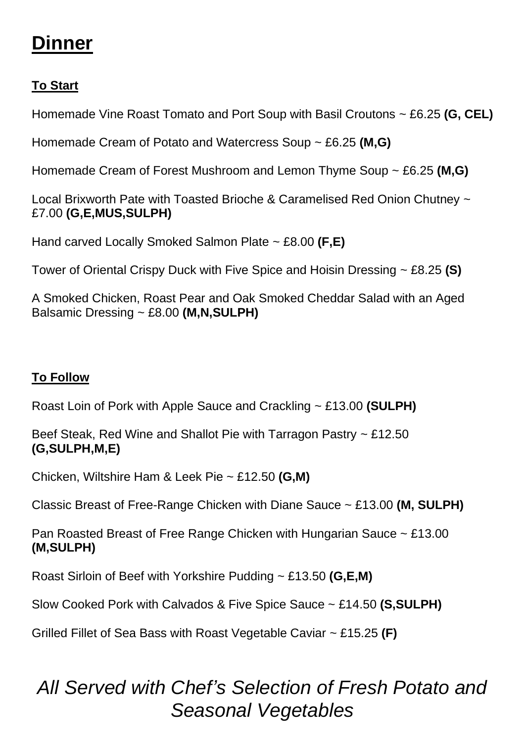# **Dinner**

## **To Start**

Homemade Vine Roast Tomato and Port Soup with Basil Croutons ~ £6.25 **(G, CEL)**

Homemade Cream of Potato and Watercress Soup ~ £6.25 **(M,G)**

Homemade Cream of Forest Mushroom and Lemon Thyme Soup ~ £6.25 **(M,G)**

Local Brixworth Pate with Toasted Brioche & Caramelised Red Onion Chutney ~ £7.00 **(G,E,MUS,SULPH)**

Hand carved Locally Smoked Salmon Plate ~ £8.00 **(F,E)**

Tower of Oriental Crispy Duck with Five Spice and Hoisin Dressing ~ £8.25 **(S)**

A Smoked Chicken, Roast Pear and Oak Smoked Cheddar Salad with an Aged Balsamic Dressing ~ £8.00 **(M,N,SULPH)**

### **To Follow**

Roast Loin of Pork with Apple Sauce and Crackling ~ £13.00 **(SULPH)**

Beef Steak, Red Wine and Shallot Pie with Tarragon Pastry ~ £12.50 **(G,SULPH,M,E)**

Chicken, Wiltshire Ham & Leek Pie ~ £12.50 **(G,M)**

Classic Breast of Free-Range Chicken with Diane Sauce ~ £13.00 **(M, SULPH)**

Pan Roasted Breast of Free Range Chicken with Hungarian Sauce ~ £13.00 **(M,SULPH)**

Roast Sirloin of Beef with Yorkshire Pudding ~ £13.50 **(G,E,M)**

Slow Cooked Pork with Calvados & Five Spice Sauce ~ £14.50 **(S,SULPH)**

Grilled Fillet of Sea Bass with Roast Vegetable Caviar ~ £15.25 **(F)**

# *All Served with Chef's Selection of Fresh Potato and Seasonal Vegetables*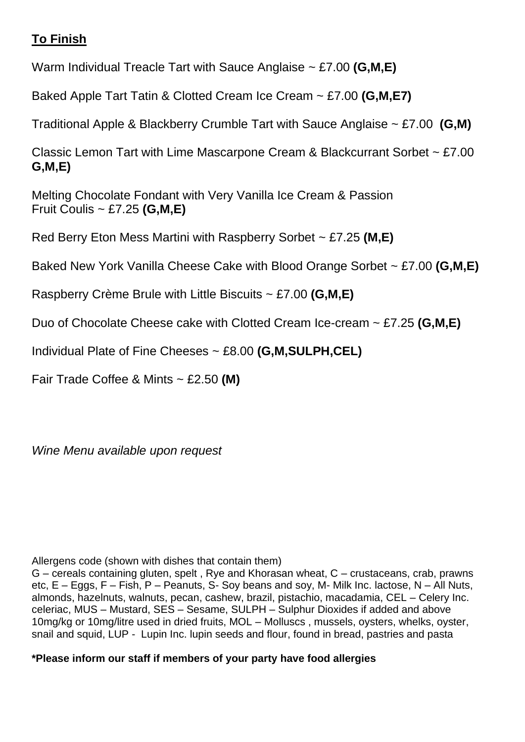#### **To Finish**

Warm Individual Treacle Tart with Sauce Anglaise ~ £7.00 **(G,M,E)**

Baked Apple Tart Tatin & Clotted Cream Ice Cream ~ £7.00 **(G,M,E7)**

Traditional Apple & Blackberry Crumble Tart with Sauce Anglaise ~ £7.00 **(G,M)**

Classic Lemon Tart with Lime Mascarpone Cream & Blackcurrant Sorbet ~ £7.00 **G,M,E)**

Melting Chocolate Fondant with Very Vanilla Ice Cream & Passion Fruit Coulis ~ £7.25 **(G,M,E)**

Red Berry Eton Mess Martini with Raspberry Sorbet ~ £7.25 **(M,E)**

Baked New York Vanilla Cheese Cake with Blood Orange Sorbet ~ £7.00 **(G,M,E)**

Raspberry Crème Brule with Little Biscuits ~ £7.00 **(G,M,E)**

Duo of Chocolate Cheese cake with Clotted Cream Ice-cream ~ £7.25 **(G,M,E)**

Individual Plate of Fine Cheeses ~ £8.00 **(G,M,SULPH,CEL)**

Fair Trade Coffee & Mints ~ £2.50 **(M)**

*Wine Menu available upon request*

Allergens code (shown with dishes that contain them)

G – cereals containing gluten, spelt , Rye and Khorasan wheat, C – crustaceans, crab, prawns etc, E – Eggs, F – Fish, P – Peanuts, S- Soy beans and soy, M- Milk Inc. lactose, N – All Nuts, almonds, hazelnuts, walnuts, pecan, cashew, brazil, pistachio, macadamia, CEL – Celery Inc. celeriac, MUS – Mustard, SES – Sesame, SULPH – Sulphur Dioxides if added and above 10mg/kg or 10mg/litre used in dried fruits, MOL – Molluscs , mussels, oysters, whelks, oyster, snail and squid, LUP - Lupin Inc. lupin seeds and flour, found in bread, pastries and pasta

**\*Please inform our staff if members of your party have food allergies**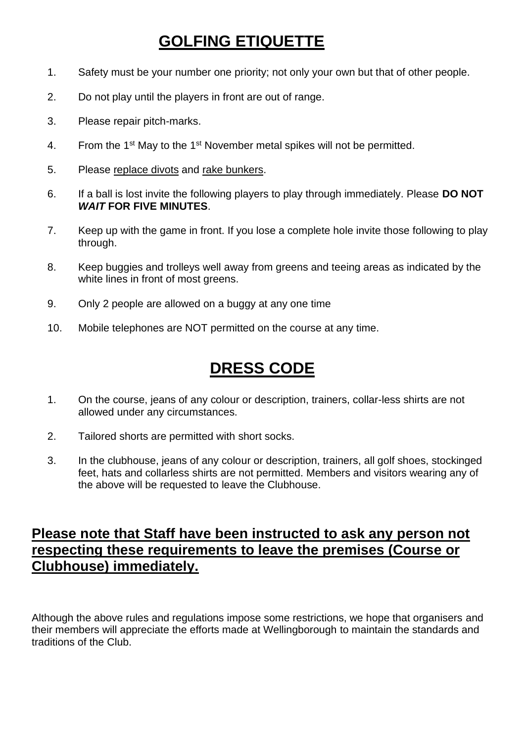# **GOLFING ETIQUETTE**

- 1. Safety must be your number one priority; not only your own but that of other people.
- 2. Do not play until the players in front are out of range.
- 3. Please repair pitch-marks.
- 4. From the 1<sup>st</sup> May to the 1<sup>st</sup> November metal spikes will not be permitted.
- 5. Please replace divots and rake bunkers.
- 6. If a ball is lost invite the following players to play through immediately. Please **DO NOT**  *WAIT* **FOR FIVE MINUTES**.
- 7. Keep up with the game in front. If you lose a complete hole invite those following to play through.
- 8. Keep buggies and trolleys well away from greens and teeing areas as indicated by the white lines in front of most greens.
- 9. Only 2 people are allowed on a buggy at any one time
- 10. Mobile telephones are NOT permitted on the course at any time.

## **DRESS CODE**

- 1. On the course, jeans of any colour or description, trainers, collar-less shirts are not allowed under any circumstances.
- 2. Tailored shorts are permitted with short socks.
- 3. In the clubhouse, jeans of any colour or description, trainers, all golf shoes, stockinged feet, hats and collarless shirts are not permitted. Members and visitors wearing any of the above will be requested to leave the Clubhouse.

### **Please note that Staff have been instructed to ask any person not respecting these requirements to leave the premises (Course or Clubhouse) immediately.**

Although the above rules and regulations impose some restrictions, we hope that organisers and their members will appreciate the efforts made at Wellingborough to maintain the standards and traditions of the Club.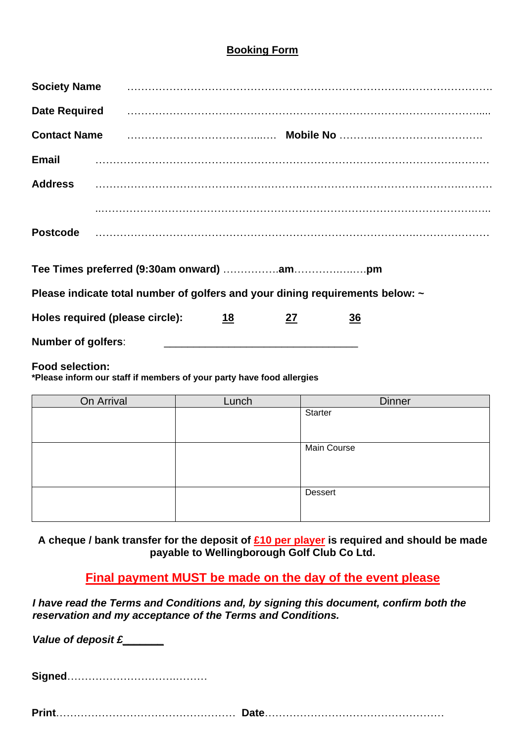#### **Booking Form**

|                           | Society Name <b>contract the contract of the contract of the contract of the second contract of the Society Name</b> |    |    |           |  |
|---------------------------|----------------------------------------------------------------------------------------------------------------------|----|----|-----------|--|
| <b>Date Required</b>      |                                                                                                                      |    |    |           |  |
|                           | Contact Name manufactured control of the control of the control of the control of the control of the control o       |    |    |           |  |
| <b>Email</b>              |                                                                                                                      |    |    |           |  |
|                           |                                                                                                                      |    |    |           |  |
|                           |                                                                                                                      |    |    |           |  |
| <b>Postcode</b>           |                                                                                                                      |    |    |           |  |
|                           |                                                                                                                      |    |    |           |  |
|                           | Please indicate total number of golfers and your dining requirements below: ~                                        |    |    |           |  |
|                           | Holes required (please circle):                                                                                      | 18 | 27 | <u>36</u> |  |
| <b>Number of golfers:</b> |                                                                                                                      |    |    |           |  |
|                           |                                                                                                                      |    |    |           |  |

**Food selection:**

**\*Please inform our staff if members of your party have food allergies** 

| On Arrival | Lunch | <b>Dinner</b>  |
|------------|-------|----------------|
|            |       | Starter        |
|            |       |                |
|            |       |                |
|            |       | Main Course    |
|            |       |                |
|            |       |                |
|            |       |                |
|            |       | <b>Dessert</b> |
|            |       |                |
|            |       |                |

**A cheque / bank transfer for the deposit of £10 per player is required and should be made payable to Wellingborough Golf Club Co Ltd.** 

**Final payment MUST be made on the day of the event please**

*I have read the Terms and Conditions and, by signing this document, confirm both the reservation and my acceptance of the Terms and Conditions.* 

*Value of deposit £\_\_\_\_\_\_\_*

**Signed**………………………….………

**Print**…………………………………………… **Date**……………………………………………